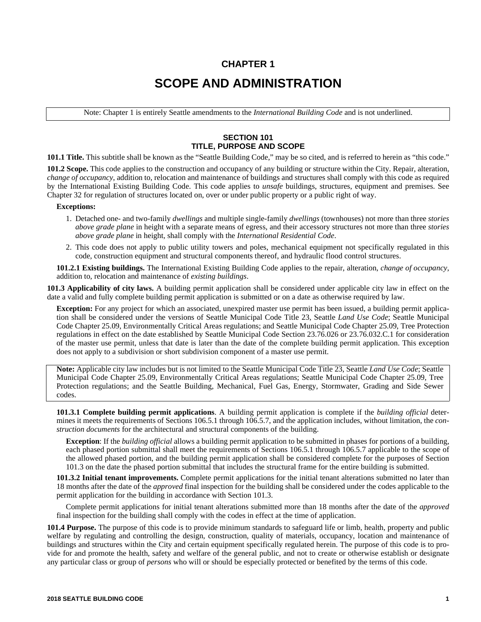# **CHAPTER 1 SCOPE AND ADMINISTRATION**

Note: Chapter 1 is entirely Seattle amendments to the *International Building Code* and is not underlined.

# **SECTION 101 TITLE, PURPOSE AND SCOPE**

**101.1 Title.** This subtitle shall be known as the "Seattle Building Code," may be so cited, and is referred to herein as "this code."

**101.2 Scope.** This code applies to the construction and occupancy of any building or structure within the City. Repair, alteration, *change of occupancy*, addition to, relocation and maintenance of buildings and structures shall comply with this code as required by the International Existing Building Code. This code applies to *unsafe* buildings, structures, equipment and premises. See Chapter 32 for regulation of structures located on, over or under public property or a public right of way.

#### **Exceptions:**

- 1. Detached one- and two-family *dwellings* and multiple single-family *dwellings* (townhouses) not more than three *stories above grade plane* in height with a separate means of egress, and their accessory structures not more than three *stories above grade plane* in height, shall comply with the *International Residential Code*.
- 2. This code does not apply to public utility towers and poles, mechanical equipment not specifically regulated in this code, construction equipment and structural components thereof, and hydraulic flood control structures.

**101.2.1 Existing buildings.** The International Existing Building Code applies to the repair, alteration, *change of occupancy*, addition to, relocation and maintenance of *existing buildings*.

**101.3 Applicability of city laws.** A building permit application shall be considered under applicable city law in effect on the date a valid and fully complete building permit application is submitted or on a date as otherwise required by law.

**Exception:** For any project for which an associated, unexpired master use permit has been issued, a building permit application shall be considered under the versions of Seattle Municipal Code Title 23, Seattle *Land Use Code*; Seattle Municipal Code Chapter 25.09, Environmentally Critical Areas regulations; and Seattle Municipal Code Chapter 25.09, Tree Protection regulations in effect on the date established by Seattle Municipal Code Section 23.76.026 or 23.76.032.C.1 for consideration of the master use permit, unless that date is later than the date of the complete building permit application. This exception does not apply to a subdivision or short subdivision component of a master use permit.

**Note:** Applicable city law includes but is not limited to the Seattle Municipal Code Title 23, Seattle *Land Use Code*; Seattle Municipal Code Chapter 25.09, Environmentally Critical Areas regulations; Seattle Municipal Code Chapter 25.09, Tree Protection regulations; and the Seattle Building, Mechanical, Fuel Gas, Energy, Stormwater, Grading and Side Sewer codes.

**101.3.1 Complete building permit applications**. A building permit application is complete if the *building official* determines it meets the requirements of Sections 106.5.1 through 106.5.7, and the application includes, without limitation, the *construction documents* for the architectural and structural components of the building.

**Exception**: If the *building official* allows a building permit application to be submitted in phases for portions of a building, each phased portion submittal shall meet the requirements of Sections 106.5.1 through 106.5.7 applicable to the scope of the allowed phased portion, and the building permit application shall be considered complete for the purposes of Section 101.3 on the date the phased portion submittal that includes the structural frame for the entire building is submitted.

**101.3.2 Initial tenant improvements.** Complete permit applications for the initial tenant alterations submitted no later than 18 months after the date of the *approved* final inspection for the building shall be considered under the codes applicable to the permit application for the building in accordance with Section 101.3.

Complete permit applications for initial tenant alterations submitted more than 18 months after the date of the *approved* final inspection for the building shall comply with the codes in effect at the time of application.

**101.4 Purpose.** The purpose of this code is to provide minimum standards to safeguard life or limb, health, property and public welfare by regulating and controlling the design, construction, quality of materials, occupancy, location and maintenance of buildings and structures within the City and certain equipment specifically regulated herein. The purpose of this code is to provide for and promote the health, safety and welfare of the general public, and not to create or otherwise establish or designate any particular class or group of *persons* who will or should be especially protected or benefited by the terms of this code.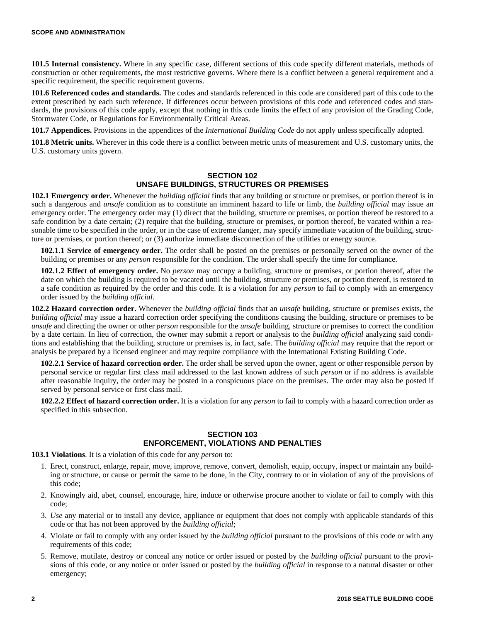**101.5 Internal consistency.** Where in any specific case, different sections of this code specify different materials, methods of construction or other requirements, the most restrictive governs. Where there is a conflict between a general requirement and a specific requirement, the specific requirement governs.

**101.6 Referenced codes and standards.** The codes and standards referenced in this code are considered part of this code to the extent prescribed by each such reference. If differences occur between provisions of this code and referenced codes and standards, the provisions of this code apply, except that nothing in this code limits the effect of any provision of the Grading Code, Stormwater Code, or Regulations for Environmentally Critical Areas.

**101.7 Appendices.** Provisions in the appendices of the *International Building Code* do not apply unless specifically adopted.

**101.8 Metric units.** Wherever in this code there is a conflict between metric units of measurement and U.S. customary units, the U.S. customary units govern.

## **SECTION 102 UNSAFE BUILDINGS, STRUCTURES OR PREMISES**

**102.1 Emergency order.** Whenever the *building official* finds that any building or structure or premises, or portion thereof is in such a dangerous and *unsafe* condition as to constitute an imminent hazard to life or limb, the *building official* may issue an emergency order. The emergency order may (1) direct that the building, structure or premises, or portion thereof be restored to a safe condition by a date certain; (2) require that the building, structure or premises, or portion thereof, be vacated within a reasonable time to be specified in the order, or in the case of extreme danger, may specify immediate vacation of the building, structure or premises, or portion thereof; or (3) authorize immediate disconnection of the utilities or energy source.

**102.1.1 Service of emergency order.** The order shall be posted on the premises or personally served on the owner of the building or premises or any *person* responsible for the condition. The order shall specify the time for compliance.

**102.1.2 Effect of emergency order.** No *person* may occupy a building, structure or premises, or portion thereof, after the date on which the building is required to be vacated until the building, structure or premises, or portion thereof, is restored to a safe condition as required by the order and this code. It is a violation for any *person* to fail to comply with an emergency order issued by the *building official*.

**102.2 Hazard correction order.** Whenever the *building official* finds that an *unsafe* building, structure or premises exists, the *building official* may issue a hazard correction order specifying the conditions causing the building, structure or premises to be *unsafe* and directing the owner or other *person* responsible for the *unsafe* building, structure or premises to correct the condition by a date certain. In lieu of correction, the owner may submit a report or analysis to the *building official* analyzing said conditions and establishing that the building, structure or premises is, in fact, safe. The *building official* may require that the report or analysis be prepared by a licensed engineer and may require compliance with the International Existing Building Code.

**102.2.1 Service of hazard correction order.** The order shall be served upon the owner, agent or other responsible *person* by personal service or regular first class mail addressed to the last known address of such *person* or if no address is available after reasonable inquiry, the order may be posted in a conspicuous place on the premises. The order may also be posted if served by personal service or first class mail.

**102.2.2 Effect of hazard correction order.** It is a violation for any *person* to fail to comply with a hazard correction order as specified in this subsection.

## **SECTION 103 ENFORCEMENT, VIOLATIONS AND PENALTIES**

**103.1 Violations**. It is a violation of this code for any *person* to:

- 1. Erect, construct, enlarge, repair, move, improve, remove, convert, demolish, equip, occupy, inspect or maintain any building or structure, or cause or permit the same to be done, in the City, contrary to or in violation of any of the provisions of this code;
- 2. Knowingly aid, abet, counsel, encourage, hire, induce or otherwise procure another to violate or fail to comply with this code;
- 3. *Use* any material or to install any device, appliance or equipment that does not comply with applicable standards of this code or that has not been approved by the *building official*;
- 4. Violate or fail to comply with any order issued by the *building official* pursuant to the provisions of this code or with any requirements of this code;
- 5. Remove, mutilate, destroy or conceal any notice or order issued or posted by the *building official* pursuant to the provisions of this code, or any notice or order issued or posted by the *building official* in response to a natural disaster or other emergency;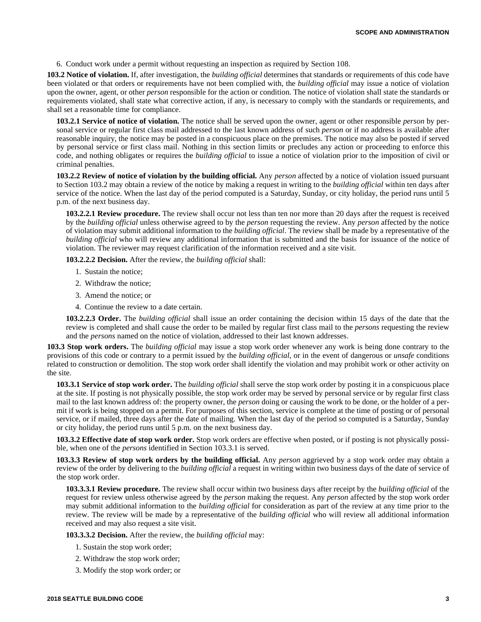6. Conduct work under a permit without requesting an inspection as required by Section 108.

**103.2 Notice of violation.** If, after investigation, the *building official* determines that standards or requirements of this code have been violated or that orders or requirements have not been complied with, the *building official* may issue a notice of violation upon the owner, agent, or other *person* responsible for the action or condition. The notice of violation shall state the standards or requirements violated, shall state what corrective action, if any, is necessary to comply with the standards or requirements, and shall set a reasonable time for compliance.

**103.2.1 Service of notice of violation.** The notice shall be served upon the owner, agent or other responsible *person* by personal service or regular first class mail addressed to the last known address of such *person* or if no address is available after reasonable inquiry, the notice may be posted in a conspicuous place on the premises. The notice may also be posted if served by personal service or first class mail. Nothing in this section limits or precludes any action or proceeding to enforce this code, and nothing obligates or requires the *building official* to issue a notice of violation prior to the imposition of civil or criminal penalties.

**103.2.2 Review of notice of violation by the building official.** Any *person* affected by a notice of violation issued pursuant to Section 103.2 may obtain a review of the notice by making a request in writing to the *building official* within ten days after service of the notice. When the last day of the period computed is a Saturday, Sunday, or city holiday, the period runs until 5 p.m. of the next business day.

**103.2.2.1 Review procedure.** The review shall occur not less than ten nor more than 20 days after the request is received by the *building official* unless otherwise agreed to by the *person* requesting the review. Any *person* affected by the notice of violation may submit additional information to the *building official*. The review shall be made by a representative of the *building official* who will review any additional information that is submitted and the basis for issuance of the notice of violation. The reviewer may request clarification of the information received and a site visit.

**103.2.2.2 Decision.** After the review, the *building official* shall:

- 1. Sustain the notice;
- 2. Withdraw the notice;
- 3. Amend the notice; or
- 4. Continue the review to a date certain.

**103.2.2.3 Order.** The *building official* shall issue an order containing the decision within 15 days of the date that the review is completed and shall cause the order to be mailed by regular first class mail to the *persons* requesting the review and the *persons* named on the notice of violation, addressed to their last known addresses.

**103.3 Stop work orders.** The *building official* may issue a stop work order whenever any work is being done contrary to the provisions of this code or contrary to a permit issued by the *building official*, or in the event of dangerous or *unsafe* conditions related to construction or demolition. The stop work order shall identify the violation and may prohibit work or other activity on the site.

**103.3.1 Service of stop work order.** The *building official* shall serve the stop work order by posting it in a conspicuous place at the site. If posting is not physically possible, the stop work order may be served by personal service or by regular first class mail to the last known address of: the property owner, the *person* doing or causing the work to be done, or the holder of a permit if work is being stopped on a permit. For purposes of this section, service is complete at the time of posting or of personal service, or if mailed, three days after the date of mailing. When the last day of the period so computed is a Saturday, Sunday or city holiday, the period runs until 5 p.m. on the next business day.

**103.3.2 Effective date of stop work order.** Stop work orders are effective when posted, or if posting is not physically possible, when one of the *persons* identified in Section 103.3.1 is served.

**103.3.3 Review of stop work orders by the building official.** Any *person* aggrieved by a stop work order may obtain a review of the order by delivering to the *building official* a request in writing within two business days of the date of service of the stop work order.

**103.3.3.1 Review procedure.** The review shall occur within two business days after receipt by the *building official* of the request for review unless otherwise agreed by the *person* making the request. Any *person* affected by the stop work order may submit additional information to the *building official* for consideration as part of the review at any time prior to the review. The review will be made by a representative of the *building official* who will review all additional information received and may also request a site visit.

**103.3.3.2 Decision.** After the review, the *building official* may:

- 1. Sustain the stop work order;
- 2. Withdraw the stop work order;
- 3. Modify the stop work order; or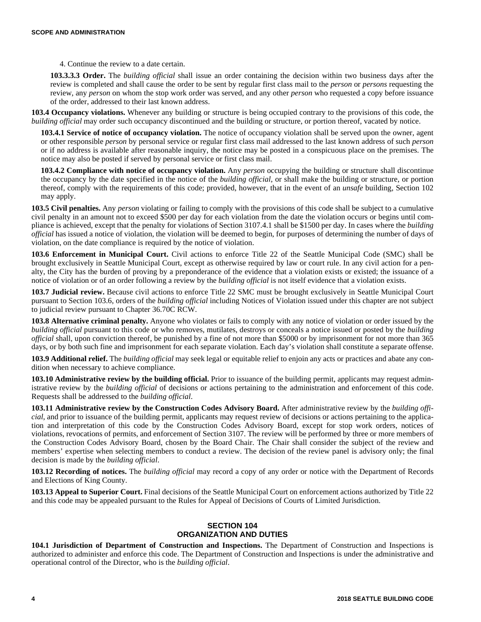4. Continue the review to a date certain.

**103.3.3.3 Order.** The *building official* shall issue an order containing the decision within two business days after the review is completed and shall cause the order to be sent by regular first class mail to the *person* or *persons* requesting the review, any *person* on whom the stop work order was served, and any other *person* who requested a copy before issuance of the order, addressed to their last known address.

**103.4 Occupancy violations.** Whenever any building or structure is being occupied contrary to the provisions of this code, the *building official* may order such occupancy discontinued and the building or structure, or portion thereof, vacated by notice.

**103.4.1 Service of notice of occupancy violation.** The notice of occupancy violation shall be served upon the owner, agent or other responsible *person* by personal service or regular first class mail addressed to the last known address of such *person* or if no address is available after reasonable inquiry, the notice may be posted in a conspicuous place on the premises. The notice may also be posted if served by personal service or first class mail.

**103.4.2 Compliance with notice of occupancy violation.** Any *person* occupying the building or structure shall discontinue the occupancy by the date specified in the notice of the *building official*, or shall make the building or structure, or portion thereof, comply with the requirements of this code; provided, however, that in the event of an *unsafe* building, Section 102 may apply.

**103.5 Civil penalties.** Any *person* violating or failing to comply with the provisions of this code shall be subject to a cumulative civil penalty in an amount not to exceed \$500 per day for each violation from the date the violation occurs or begins until compliance is achieved, except that the penalty for violations of Section 3107.4.1 shall be \$1500 per day. In cases where the *building official* has issued a notice of violation, the violation will be deemed to begin, for purposes of determining the number of days of violation, on the date compliance is required by the notice of violation.

**103.6 Enforcement in Municipal Court.** Civil actions to enforce Title 22 of the Seattle Municipal Code (SMC) shall be brought exclusively in Seattle Municipal Court, except as otherwise required by law or court rule. In any civil action for a penalty, the City has the burden of proving by a preponderance of the evidence that a violation exists or existed; the issuance of a notice of violation or of an order following a review by the *building official* is not itself evidence that a violation exists.

**103.7 Judicial review.** Because civil actions to enforce Title 22 SMC must be brought exclusively in Seattle Municipal Court pursuant to Section 103.6, orders of the *building official* including Notices of Violation issued under this chapter are not subject to judicial review pursuant to Chapter 36.70C RCW.

**103.8 Alternative criminal penalty.** Anyone who violates or fails to comply with any notice of violation or order issued by the *building official* pursuant to this code or who removes, mutilates, destroys or conceals a notice issued or posted by the *building official* shall, upon conviction thereof, be punished by a fine of not more than \$5000 or by imprisonment for not more than 365 days, or by both such fine and imprisonment for each separate violation. Each day's violation shall constitute a separate offense.

**103.9 Additional relief.** The *building official* may seek legal or equitable relief to enjoin any acts or practices and abate any condition when necessary to achieve compliance.

**103.10 Administrative review by the building official.** Prior to issuance of the building permit, applicants may request administrative review by the *building official* of decisions or actions pertaining to the administration and enforcement of this code. Requests shall be addressed to the *building official*.

**103.11 Administrative review by the Construction Codes Advisory Board.** After administrative review by the *building official*, and prior to issuance of the building permit, applicants may request review of decisions or actions pertaining to the application and interpretation of this code by the Construction Codes Advisory Board, except for stop work orders, notices of violations, revocations of permits, and enforcement of Section 3107. The review will be performed by three or more members of the Construction Codes Advisory Board, chosen by the Board Chair. The Chair shall consider the subject of the review and members' expertise when selecting members to conduct a review. The decision of the review panel is advisory only; the final decision is made by the *building official*.

**103.12 Recording of notices.** The *building official* may record a copy of any order or notice with the Department of Records and Elections of King County.

**103.13 Appeal to Superior Court.** Final decisions of the Seattle Municipal Court on enforcement actions authorized by Title 22 and this code may be appealed pursuant to the Rules for Appeal of Decisions of Courts of Limited Jurisdiction.

# **SECTION 104 ORGANIZATION AND DUTIES**

**104.1 Jurisdiction of Department of Construction and Inspections.** The Department of Construction and Inspections is authorized to administer and enforce this code. The Department of Construction and Inspections is under the administrative and operational control of the Director, who is the *building official*.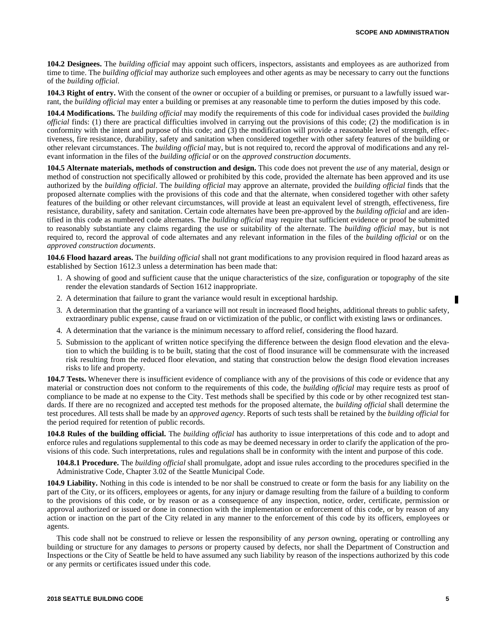**104.2 Designees.** The *building official* may appoint such officers, inspectors, assistants and employees as are authorized from time to time. The *building official* may authorize such employees and other agents as may be necessary to carry out the functions of the *building official*.

**104.3 Right of entry.** With the consent of the owner or occupier of a building or premises, or pursuant to a lawfully issued warrant, the *building official* may enter a building or premises at any reasonable time to perform the duties imposed by this code.

**104.4 Modifications.** The *building official* may modify the requirements of this code for individual cases provided the *building official* finds: (1) there are practical difficulties involved in carrying out the provisions of this code; (2) the modification is in conformity with the intent and purpose of this code; and (3) the modification will provide a reasonable level of strength, effectiveness, fire resistance, durability, safety and sanitation when considered together with other safety features of the building or other relevant circumstances. The *building official* may, but is not required to, record the approval of modifications and any relevant information in the files of the *building official* or on the *approved construction documents*.

**104.5 Alternate materials, methods of construction and design.** This code does not prevent the *use* of any material*,* design or method of construction not specifically allowed or prohibited by this code, provided the alternate has been approved and its use authorized by the *building official*. The *building official* may approve an alternate, provided the *building official* finds that the proposed alternate complies with the provisions of this code and that the alternate, when considered together with other safety features of the building or other relevant circumstances, will provide at least an equivalent level of strength, effectiveness, fire resistance, durability, safety and sanitation. Certain code alternates have been pre-approved by the *building official* and are identified in this code as numbered code alternates. The *building official* may require that sufficient evidence or proof be submitted to reasonably substantiate any claims regarding the use or suitability of the alternate. The *building official* may, but is not required to, record the approval of code alternates and any relevant information in the files of the *building official* or on the *approved construction documents*.

**104.6 Flood hazard areas.** The *building official* shall not grant modifications to any provision required in flood hazard areas as established by Section 1612.3 unless a determination has been made that:

- 1. A showing of good and sufficient cause that the unique characteristics of the size, configuration or topography of the site render the elevation standards of Section 1612 inappropriate.
- 2. A determination that failure to grant the variance would result in exceptional hardship.
- 3. A determination that the granting of a variance will not result in increased flood heights, additional threats to public safety, extraordinary public expense, cause fraud on or victimization of the public, or conflict with existing laws or ordinances.
- 4. A determination that the variance is the minimum necessary to afford relief, considering the flood hazard.
- 5. Submission to the applicant of written notice specifying the difference between the design flood elevation and the elevation to which the building is to be built, stating that the cost of flood insurance will be commensurate with the increased risk resulting from the reduced floor elevation, and stating that construction below the design flood elevation increases risks to life and property.

**104.7 Tests.** Whenever there is insufficient evidence of compliance with any of the provisions of this code or evidence that any material or construction does not conform to the requirements of this code, the *building official* may require tests as proof of compliance to be made at no expense to the City. Test methods shall be specified by this code or by other recognized test standards. If there are no recognized and accepted test methods for the proposed alternate, the *building official* shall determine the test procedures. All tests shall be made by an *approved agency*. Reports of such tests shall be retained by the *building official* for the period required for retention of public records.

**104.8 Rules of the building official.** The *building official* has authority to issue interpretations of this code and to adopt and enforce rules and regulations supplemental to this code as may be deemed necessary in order to clarify the application of the provisions of this code. Such interpretations, rules and regulations shall be in conformity with the intent and purpose of this code.

**104.8.1 Procedure.** The *building official* shall promulgate, adopt and issue rules according to the procedures specified in the Administrative Code, Chapter 3.02 of the Seattle Municipal Code.

**104.9 Liability.** Nothing in this code is intended to be nor shall be construed to create or form the basis for any liability on the part of the City, or its officers, employees or agents, for any injury or damage resulting from the failure of a building to conform to the provisions of this code, or by reason or as a consequence of any inspection, notice, order, certificate, permission or approval authorized or issued or done in connection with the implementation or enforcement of this code, or by reason of any action or inaction on the part of the City related in any manner to the enforcement of this code by its officers, employees or agents.

This code shall not be construed to relieve or lessen the responsibility of any *person* owning, operating or controlling any building or structure for any damages to *persons* or property caused by defects, nor shall the Department of Construction and Inspections or the City of Seattle be held to have assumed any such liability by reason of the inspections authorized by this code or any permits or certificates issued under this code.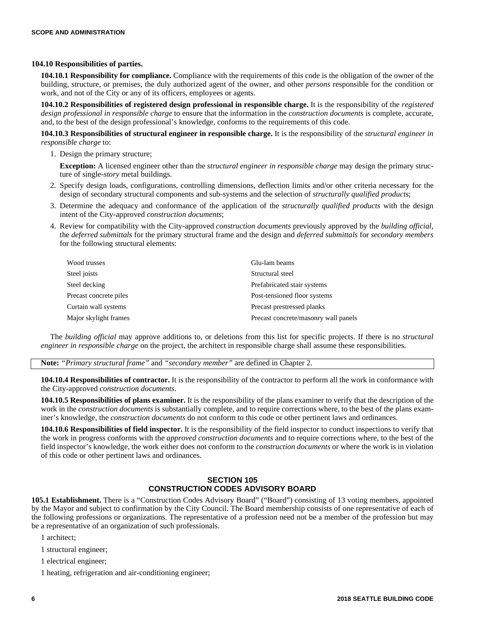#### **104.10 Responsibilities of parties.**

**104.10.1 Responsibility for compliance.** Compliance with the requirements of this code is the obligation of the owner of the building, structure, or premises, the duly authorized agent of the owner, and other *persons* responsible for the condition or work, and not of the City or any of its officers, employees or agents.

**104.10.2 Responsibilities of registered design professional in responsible charge.** It is the responsibility of the *registered design professional in responsible charge* to ensure that the information in the *construction documents* is complete, accurate, and, to the best of the design professional's knowledge, conforms to the requirements of this code.

**104.10.3 Responsibilities of structural engineer in responsible charge.** It is the responsibility of the *structural engineer in responsible charge* to:

1. Design the primary structure;

**Exception:** A licensed engineer other than the *structural engineer in responsible charge* may design the primary structure of single-*story* metal buildings.

- 2. Specify design loads, configurations, controlling dimensions, deflection limits and/or other criteria necessary for the design of secondary structural components and sub-systems and the selection of *structurally qualified products*;
- 3. Determine the adequacy and conformance of the application of the *structurally qualified products* with the design intent of the City-approved *construction documents*;
- 4. Review for compatibility with the City-approved *construction documents* previously approved by the *building official*, the *deferred submittals* for the primary structural frame and the design and *deferred submittals* for *secondary members* for the following structural elements:

| Wood trusses           | Glu-lam beams                        |
|------------------------|--------------------------------------|
| Steel joists           | Structural steel                     |
| Steel decking          | Prefabricated stair systems          |
| Precast concrete piles | Post-tensioned floor systems         |
| Curtain wall systems   | Precast prestressed planks           |
| Major skylight frames  | Precast concrete/masonry wall panels |

The *building official* may approve additions to, or deletions from this list for specific projects. If there is no *structural engineer in responsible charge* on the project, the architect in responsible charge shall assume these responsibilities.

**Note:** *"Primary structural frame"* and *"secondary member"* are defined in Chapter 2.

**104.10.4 Responsibilities of contractor.** It is the responsibility of the contractor to perform all the work in conformance with the City-approved *construction documents*.

**104.10.5 Responsibilities of plans examiner.** It is the responsibility of the plans examiner to verify that the description of the work in the *construction documents* is substantially complete, and to require corrections where, to the best of the plans examiner's knowledge, the *construction documents* do not conform to this code or other pertinent laws and ordinances.

**104.10.6 Responsibilities of field inspector.** It is the responsibility of the field inspector to conduct inspections to verify that the work in progress conforms with the *approved construction documents* and to require corrections where, to the best of the field inspector's knowledge, the work either does not conform to the *construction documents* or where the work is in violation of this code or other pertinent laws and ordinances.

# **SECTION 105 CONSTRUCTION CODES ADVISORY BOARD**

**105.1 Establishment.** There is a "Construction Codes Advisory Board" ("Board") consisting of 13 voting members, appointed by the Mayor and subject to confirmation by the City Council. The Board membership consists of one representative of each of the following professions or organizations. The representative of a profession need not be a member of the profession but may be a representative of an organization of such professionals.

- 1 architect;
- 1 structural engineer;
- 1 electrical engineer;

1 heating, refrigeration and air-conditioning engineer;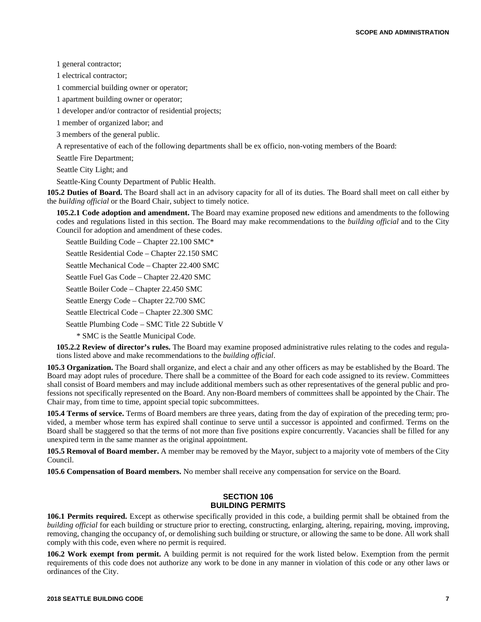1 general contractor;

1 electrical contractor;

1 commercial building owner or operator;

1 apartment building owner or operator;

1 developer and/or contractor of residential projects;

1 member of organized labor; and

3 members of the general public.

A representative of each of the following departments shall be ex officio, non-voting members of the Board:

Seattle Fire Department;

Seattle City Light; and

Seattle-King County Department of Public Health.

**105.2 Duties of Board.** The Board shall act in an advisory capacity for all of its duties. The Board shall meet on call either by the *building official* or the Board Chair, subject to timely notice.

**105.2.1 Code adoption and amendment.** The Board may examine proposed new editions and amendments to the following codes and regulations listed in this section. The Board may make recommendations to the *building official* and to the City Council for adoption and amendment of these codes.

Seattle Building Code – Chapter 22.100 SMC\*

Seattle Residential Code – Chapter 22.150 SMC

Seattle Mechanical Code – Chapter 22.400 SMC

Seattle Fuel Gas Code – Chapter 22.420 SMC

Seattle Boiler Code – Chapter 22.450 SMC

Seattle Energy Code – Chapter 22.700 SMC

Seattle Electrical Code – Chapter 22.300 SMC

Seattle Plumbing Code – SMC Title 22 Subtitle V

\* SMC is the Seattle Municipal Code.

**105.2.2 Review of director's rules.** The Board may examine proposed administrative rules relating to the codes and regulations listed above and make recommendations to the *building official*.

**105.3 Organization.** The Board shall organize, and elect a chair and any other officers as may be established by the Board. The Board may adopt rules of procedure. There shall be a committee of the Board for each code assigned to its review. Committees shall consist of Board members and may include additional members such as other representatives of the general public and professions not specifically represented on the Board. Any non-Board members of committees shall be appointed by the Chair. The Chair may, from time to time, appoint special topic subcommittees.

**105.4 Terms of service.** Terms of Board members are three years, dating from the day of expiration of the preceding term; provided, a member whose term has expired shall continue to serve until a successor is appointed and confirmed. Terms on the Board shall be staggered so that the terms of not more than five positions expire concurrently. Vacancies shall be filled for any unexpired term in the same manner as the original appointment.

**105.5 Removal of Board member.** A member may be removed by the Mayor, subject to a majority vote of members of the City Council.

**105.6 Compensation of Board members.** No member shall receive any compensation for service on the Board.

# **SECTION 106 BUILDING PERMITS**

**106.1 Permits required.** Except as otherwise specifically provided in this code, a building permit shall be obtained from the *building official* for each building or structure prior to erecting, constructing, enlarging, altering, repairing, moving, improving, removing, changing the occupancy of, or demolishing such building or structure, or allowing the same to be done. All work shall comply with this code, even where no permit is required.

**106.2 Work exempt from permit.** A building permit is not required for the work listed below. Exemption from the permit requirements of this code does not authorize any work to be done in any manner in violation of this code or any other laws or ordinances of the City.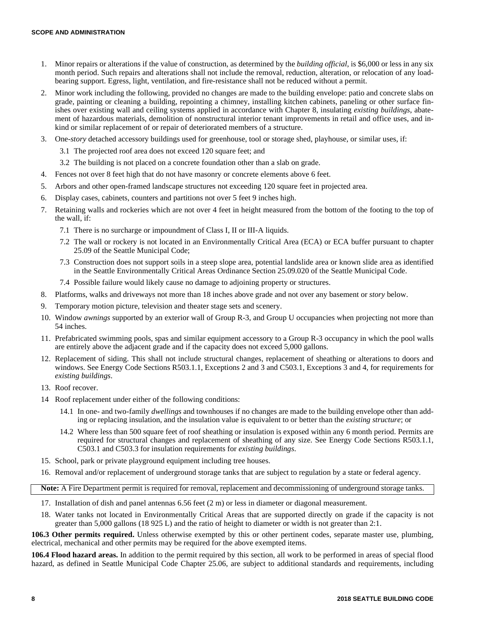- 1. Minor repairs or alterations if the value of construction, as determined by the *building official*, is \$6,000 or less in any six month period. Such repairs and alterations shall not include the removal, reduction, alteration, or relocation of any loadbearing support. Egress, light, ventilation, and fire-resistance shall not be reduced without a permit.
- 2. Minor work including the following, provided no changes are made to the building envelope: patio and concrete slabs on grade, painting or cleaning a building, repointing a chimney, installing kitchen cabinets, paneling or other surface finishes over existing wall and ceiling systems applied in accordance with Chapter 8, insulating *existing buildings*, abatement of hazardous materials, demolition of nonstructural interior tenant improvements in retail and office uses, and inkind or similar replacement of or repair of deteriorated members of a structure.
- 3. One-*story* detached accessory buildings used for greenhouse, tool or storage shed, playhouse, or similar uses, if:
	- 3.1 The projected roof area does not exceed 120 square feet; and
	- 3.2 The building is not placed on a concrete foundation other than a slab on grade.
- 4. Fences not over 8 feet high that do not have masonry or concrete elements above 6 feet.
- 5. Arbors and other open-framed landscape structures not exceeding 120 square feet in projected area.
- 6. Display cases, cabinets, counters and partitions not over 5 feet 9 inches high.
- 7. Retaining walls and rockeries which are not over 4 feet in height measured from the bottom of the footing to the top of the wall, if:
	- 7.1 There is no surcharge or impoundment of Class I, II or III-A liquids.
	- 7.2 The wall or rockery is not located in an Environmentally Critical Area (ECA) or ECA buffer pursuant to chapter 25.09 of the Seattle Municipal Code;
	- 7.3 Construction does not support soils in a steep slope area, potential landslide area or known slide area as identified in the Seattle Environmentally Critical Areas Ordinance Section 25.09.020 of the Seattle Municipal Code.
	- 7.4 Possible failure would likely cause no damage to adjoining property or structures.
- 8. Platforms, walks and driveways not more than 18 inches above grade and not over any basement or *story* below.
- 9. Temporary motion picture, television and theater stage sets and scenery.
- 10. Window *awnings* supported by an exterior wall of Group R-3, and Group U occupancies when projecting not more than 54 inches.
- 11. Prefabricated swimming pools, spas and similar equipment accessory to a Group R-3 occupancy in which the pool walls are entirely above the adjacent grade and if the capacity does not exceed 5,000 gallons.
- 12. Replacement of siding. This shall not include structural changes, replacement of sheathing or alterations to doors and windows. See Energy Code Sections R503.1.1, Exceptions 2 and 3 and C503.1, Exceptions 3 and 4, for requirements for *existing buildings*.
- 13. Roof recover.
- 14 Roof replacement under either of the following conditions:
	- 14.1 In one- and two-family *dwellings* and townhouses if no changes are made to the building envelope other than adding or replacing insulation, and the insulation value is equivalent to or better than the *existing structure*; or
	- 14.2 Where less than 500 square feet of roof sheathing or insulation is exposed within any 6 month period. Permits are required for structural changes and replacement of sheathing of any size. See Energy Code Sections R503.1.1, C503.1 and C503.3 for insulation requirements for *existing buildings*.
- 15. School, park or private playground equipment including tree houses.
- 16. Removal and/or replacement of underground storage tanks that are subject to regulation by a state or federal agency.

**Note:** A Fire Department permit is required for removal, replacement and decommissioning of underground storage tanks.

- 17. Installation of dish and panel antennas 6.56 feet (2 m) or less in diameter or diagonal measurement.
- 18. Water tanks not located in Environmentally Critical Areas that are supported directly on grade if the capacity is not greater than 5,000 gallons (18 925 L) and the ratio of height to diameter or width is not greater than 2:1.

**106.3 Other permits required.** Unless otherwise exempted by this or other pertinent codes, separate master use, plumbing, electrical, mechanical and other permits may be required for the above exempted items.

**106.4 Flood hazard areas.** In addition to the permit required by this section, all work to be performed in areas of special flood hazard, as defined in Seattle Municipal Code Chapter 25.06, are subject to additional standards and requirements, including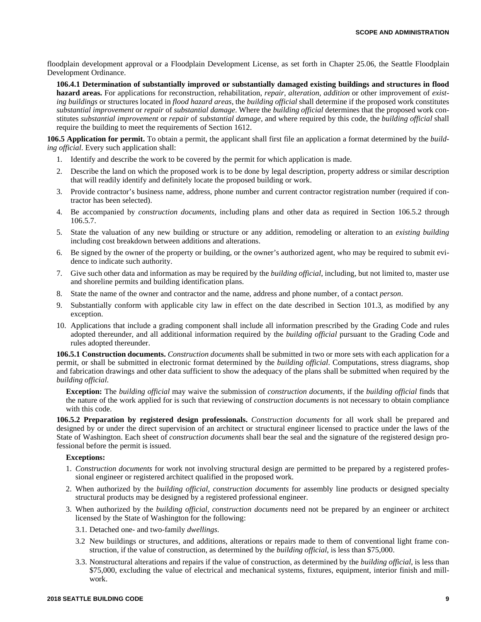floodplain development approval or a Floodplain Development License, as set forth in Chapter 25.06, the Seattle Floodplain Development Ordinance.

**106.4.1 Determination of substantially improved or substantially damaged existing buildings and structures in flood hazard areas.** For applications for reconstruction, rehabilitation, *repair*, *alteration*, *addition* or other improvement of *existing buildings* or structures located in *flood hazard areas*, the *building official* shall determine if the proposed work constitutes *substantial improvement* or *repair* of *substantial damage*. Where the *building official* determines that the proposed work constitutes *substantial improvement* or *repair* of *substantial damage*, and where required by this code, the *building official* shall require the building to meet the requirements of Section 1612.

**106.5 Application for permit.** To obtain a permit, the applicant shall first file an application a format determined by the *building official*. Every such application shall:

- 1. Identify and describe the work to be covered by the permit for which application is made.
- 2. Describe the land on which the proposed work is to be done by legal description, property address or similar description that will readily identify and definitely locate the proposed building or work.
- 3. Provide contractor's business name, address, phone number and current contractor registration number (required if contractor has been selected).
- 4. Be accompanied by *construction documents*, including plans and other data as required in Section 106.5.2 through 106.5.7.
- 5. State the valuation of any new building or structure or any addition, remodeling or alteration to an *existing building* including cost breakdown between additions and alterations.
- 6. Be signed by the owner of the property or building, or the owner's authorized agent, who may be required to submit evidence to indicate such authority.
- 7. Give such other data and information as may be required by the *building official*, including, but not limited to, master use and shoreline permits and building identification plans.
- 8. State the name of the owner and contractor and the name, address and phone number, of a contact *person*.
- 9. Substantially conform with applicable city law in effect on the date described in Section 101.3, as modified by any exception.
- 10. Applications that include a grading component shall include all information prescribed by the Grading Code and rules adopted thereunder, and all additional information required by the *building official* pursuant to the Grading Code and rules adopted thereunder.

**106.5.1 Construction documents.** *Construction documents* shall be submitted in two or more sets with each application for a permit, or shall be submitted in electronic format determined by the *building official*. Computations, stress diagrams, shop and fabrication drawings and other data sufficient to show the adequacy of the plans shall be submitted when required by the *building official*.

**Exception:** The *building official* may waive the submission of *construction documents*, if the *building official* finds that the nature of the work applied for is such that reviewing of *construction documents* is not necessary to obtain compliance with this code.

**106.5.2 Preparation by registered design professionals.** *Construction documents* for all work shall be prepared and designed by or under the direct supervision of an architect or structural engineer licensed to practice under the laws of the State of Washington. Each sheet of *construction documents* shall bear the seal and the signature of the registered design professional before the permit is issued.

## **Exceptions:**

- 1. *Construction documents* for work not involving structural design are permitted to be prepared by a registered professional engineer or registered architect qualified in the proposed work.
- 2. When authorized by the *building official*, *construction documents* for assembly line products or designed specialty structural products may be designed by a registered professional engineer.
- 3. When authorized by the *building official*, *construction documents* need not be prepared by an engineer or architect licensed by the State of Washington for the following:
	- 3.1. Detached one- and two-family *dwellings*.
	- 3.2 New buildings or structures, and additions, alterations or repairs made to them of conventional light frame construction, if the value of construction, as determined by the *building official*, is less than \$75,000.
	- 3.3. Nonstructural alterations and repairs if the value of construction, as determined by the *building official*, is less than \$75,000, excluding the value of electrical and mechanical systems, fixtures, equipment, interior finish and millwork.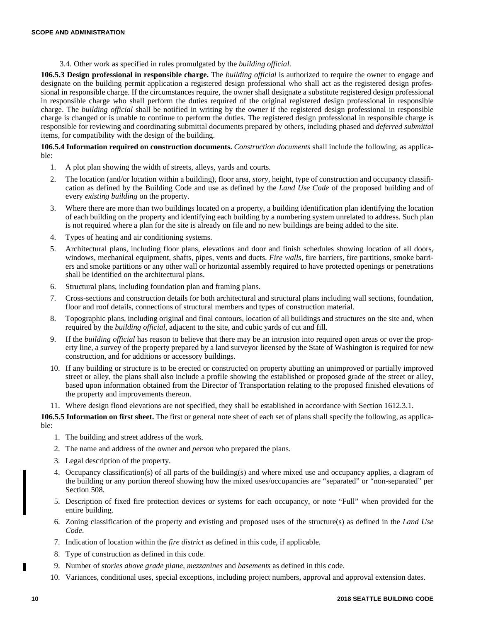3.4. Other work as specified in rules promulgated by the *building official*.

**106.5.3 Design professional in responsible charge.** The *building official* is authorized to require the owner to engage and designate on the building permit application a registered design professional who shall act as the registered design professional in responsible charge. If the circumstances require, the owner shall designate a substitute registered design professional in responsible charge who shall perform the duties required of the original registered design professional in responsible charge. The *building official* shall be notified in writing by the owner if the registered design professional in responsible charge is changed or is unable to continue to perform the duties. The registered design professional in responsible charge is responsible for reviewing and coordinating submittal documents prepared by others, including phased and *deferred submittal* items, for compatibility with the design of the building.

**106.5.4 Information required on construction documents.** *Construction documents* shall include the following, as applicable:

- 1. A plot plan showing the width of streets, alleys, yards and courts.
- 2. The location (and/or location within a building), floor area, *story*, height, type of construction and occupancy classification as defined by the Building Code and use as defined by the *Land Use Code* of the proposed building and of every *existing building* on the property.
- 3. Where there are more than two buildings located on a property, a building identification plan identifying the location of each building on the property and identifying each building by a numbering system unrelated to address. Such plan is not required where a plan for the site is already on file and no new buildings are being added to the site.
- 4. Types of heating and air conditioning systems.
- 5. Architectural plans, including floor plans, elevations and door and finish schedules showing location of all doors, windows, mechanical equipment, shafts, pipes, vents and ducts. *Fire walls*, fire barriers, fire partitions, smoke barriers and smoke partitions or any other wall or horizontal assembly required to have protected openings or penetrations shall be identified on the architectural plans.
- 6. Structural plans, including foundation plan and framing plans.
- 7. Cross-sections and construction details for both architectural and structural plans including wall sections, foundation, floor and roof details, connections of structural members and types of construction material.
- 8. Topographic plans, including original and final contours, location of all buildings and structures on the site and, when required by the *building official*, adjacent to the site, and cubic yards of cut and fill.
- 9. If the *building official* has reason to believe that there may be an intrusion into required open areas or over the property line, a survey of the property prepared by a land surveyor licensed by the State of Washington is required for new construction, and for additions or accessory buildings.
- 10. If any building or structure is to be erected or constructed on property abutting an unimproved or partially improved street or alley, the plans shall also include a profile showing the established or proposed grade of the street or alley, based upon information obtained from the Director of Transportation relating to the proposed finished elevations of the property and improvements thereon.
- 11. Where design flood elevations are not specified, they shall be established in accordance with Section 1612.3.1.

**106.5.5 Information on first sheet.** The first or general note sheet of each set of plans shall specify the following, as applicable:

- 1. The building and street address of the work.
- 2. The name and address of the owner and *person* who prepared the plans.
- 3. Legal description of the property.
- 4. Occupancy classification(s) of all parts of the building(s) and where mixed use and occupancy applies, a diagram of the building or any portion thereof showing how the mixed uses/occupancies are "separated" or "non-separated" per Section 508.
- 5. Description of fixed fire protection devices or systems for each occupancy, or note "Full" when provided for the entire building.
- 6. Zoning classification of the property and existing and proposed uses of the structure(s) as defined in the *Land Use Code*.
- 7. Indication of location within the *fire district* as defined in this code, if applicable.
- 8. Type of construction as defined in this code.
- 9. Number of *stories above grade plane, mezzanines* and *basements* as defined in this code.
- 10. Variances, conditional uses, special exceptions, including project numbers, approval and approval extension dates.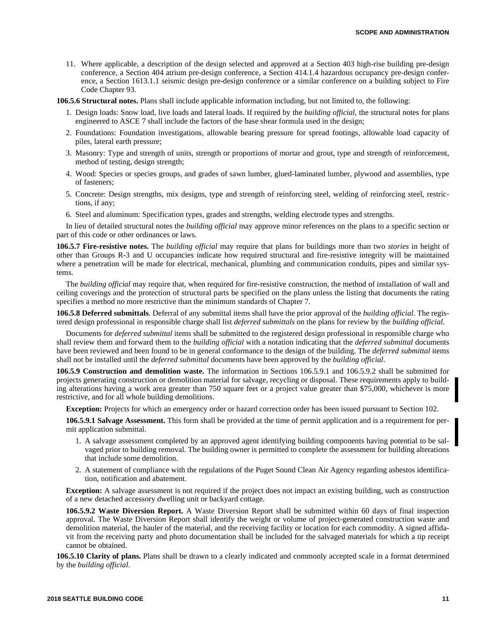11. Where applicable, a description of the design selected and approved at a Section 403 high-rise building pre-design conference, a Section 404 atrium pre-design conference, a Section 414.1.4 hazardous occupancy pre-design conference, a Section 1613.1.1 seismic design pre-design conference or a similar conference on a building subject to Fire Code Chapter 93.

**106.5.6 Structural notes.** Plans shall include applicable information including, but not limited to, the following:

- 1. Design loads: Snow load, live loads and lateral loads. If required by the *building official*, the structural notes for plans engineered to ASCE 7 shall include the factors of the base shear formula used in the design;
- 2. Foundations: Foundation investigations, allowable bearing pressure for spread footings, allowable load capacity of piles, lateral earth pressure;
- 3. Masonry: Type and strength of units, strength or proportions of mortar and grout, type and strength of reinforcement, method of testing, design strength;
- 4. Wood: Species or species groups, and grades of sawn lumber, glued-laminated lumber, plywood and assemblies, type of fasteners;
- 5. Concrete: Design strengths, mix designs, type and strength of reinforcing steel, welding of reinforcing steel, restrictions, if any;
- 6. Steel and aluminum: Specification types, grades and strengths, welding electrode types and strengths.

In lieu of detailed structural notes the *building official* may approve minor references on the plans to a specific section or part of this code or other ordinances or laws.

**106.5.7 Fire-resistive notes.** The *building official* may require that plans for buildings more than two *stories* in height of other than Groups R-3 and U occupancies indicate how required structural and fire-resistive integrity will be maintained where a penetration will be made for electrical, mechanical, plumbing and communication conduits, pipes and similar systems.

The *building official* may require that, when required for fire-resistive construction, the method of installation of wall and ceiling coverings and the protection of structural parts be specified on the plans unless the listing that documents the rating specifies a method no more restrictive than the minimum standards of Chapter 7.

**106.5.8 Deferred submittals**. Deferral of any submittal items shall have the prior approval of the *building official*. The registered design professional in responsible charge shall list *deferred submittals* on the plans for review by the *building official*.

Documents for *deferred submittal* items shall be submitted to the registered design professional in responsible charge who shall review them and forward them to the *building official* with a notation indicating that the *deferred submittal* documents have been reviewed and been found to be in general conformance to the design of the building. The *deferred submittal* items shall not be installed until the *deferred submittal* documents have been approved by the *building official*.

**106.5.9 Construction and demolition waste.** The information in Sections 106.5.9.1 and 106.5.9.2 shall be submitted for projects generating construction or demolition material for salvage, recycling or disposal. These requirements apply to building alterations having a work area greater than 750 square feet or a project value greater than \$75,000, whichever is more restrictive, and for all whole building demolitions.

**Exception:** Projects for which an emergency order or hazard correction order has been issued pursuant to Section 102.

**106.5.9.1 Salvage Assessment.** This form shall be provided at the time of permit application and is a requirement for permit application submittal.

- 1. A salvage assessment completed by an approved agent identifying building components having potential to be salvaged prior to building removal. The building owner is permitted to complete the assessment for building alterations that include some demolition.
- 2. A statement of compliance with the regulations of the Puget Sound Clean Air Agency regarding asbestos identification, notification and abatement.

**Exception:** A salvage assessment is not required if the project does not impact an existing building, such as construction of a new detached accessory dwelling unit or backyard cottage.

**106.5.9.2 Waste Diversion Report.** A Waste Diversion Report shall be submitted within 60 days of final inspection approval. The Waste Diversion Report shall identify the weight or volume of project-generated construction waste and demolition material, the hauler of the material, and the receiving facility or location for each commodity. A signed affidavit from the receiving party and photo documentation shall be included for the salvaged materials for which a tip receipt cannot be obtained.

**106.5.10 Clarity of plans.** Plans shall be drawn to a clearly indicated and commonly accepted scale in a format determined by the *building official*.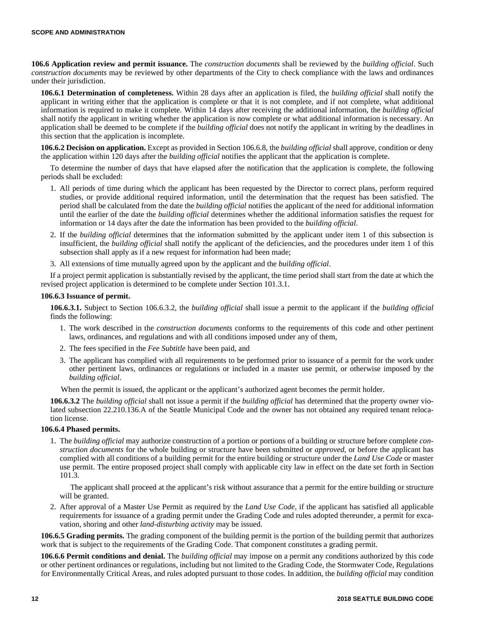**106.6 Application review and permit issuance.** The *construction documents* shall be reviewed by the *building official*. Such *construction documents* may be reviewed by other departments of the City to check compliance with the laws and ordinances under their jurisdiction.

**106.6.1 Determination of completeness.** Within 28 days after an application is filed, the *building official* shall notify the applicant in writing either that the application is complete or that it is not complete, and if not complete, what additional information is required to make it complete. Within 14 days after receiving the additional information, the *building official* shall notify the applicant in writing whether the application is now complete or what additional information is necessary. An application shall be deemed to be complete if the *building official* does not notify the applicant in writing by the deadlines in this section that the application is incomplete.

**106.6.2 Decision on application.** Except as provided in Section 106.6.8, the *building official* shall approve, condition or deny the application within 120 days after the *building official* notifies the applicant that the application is complete.

To determine the number of days that have elapsed after the notification that the application is complete, the following periods shall be excluded:

- 1. All periods of time during which the applicant has been requested by the Director to correct plans, perform required studies, or provide additional required information, until the determination that the request has been satisfied. The period shall be calculated from the date the *building official* notifies the applicant of the need for additional information until the earlier of the date the *building official* determines whether the additional information satisfies the request for information or 14 days after the date the information has been provided to the *building official*.
- 2. If the *building official* determines that the information submitted by the applicant under item 1 of this subsection is insufficient, the *building official* shall notify the applicant of the deficiencies, and the procedures under item 1 of this subsection shall apply as if a new request for information had been made;
- 3. All extensions of time mutually agreed upon by the applicant and the *building official*.

If a project permit application is substantially revised by the applicant, the time period shall start from the date at which the revised project application is determined to be complete under Section 101.3.1.

#### **106.6.3 Issuance of permit.**

**106.6.3.1.** Subject to Section 106.6.3.2, the *building official* shall issue a permit to the applicant if the *building official* finds the following:

- 1. The work described in the *construction documents* conforms to the requirements of this code and other pertinent laws, ordinances, and regulations and with all conditions imposed under any of them,
- 2. The fees specified in the *Fee Subtitle* have been paid, and
- 3. The applicant has complied with all requirements to be performed prior to issuance of a permit for the work under other pertinent laws, ordinances or regulations or included in a master use permit, or otherwise imposed by the *building official*.

When the permit is issued, the applicant or the applicant's authorized agent becomes the permit holder.

**106.6.3.2** The *building official* shall not issue a permit if the *building official* has determined that the property owner violated subsection 22.210.136.A of the Seattle Municipal Code and the owner has not obtained any required tenant relocation license.

## **106.6.4 Phased permits.**

1. The *building official* may authorize construction of a portion or portions of a building or structure before complete *construction documents* for the whole building or structure have been submitted or *approved*, or before the applicant has complied with all conditions of a building permit for the entire building or structure under the *Land Use Code* or master use permit. The entire proposed project shall comply with applicable city law in effect on the date set forth in Section 101.3.

The applicant shall proceed at the applicant's risk without assurance that a permit for the entire building or structure will be granted.

2. After approval of a Master Use Permit as required by the *Land Use Code*, if the applicant has satisfied all applicable requirements for issuance of a grading permit under the Grading Code and rules adopted thereunder, a permit for excavation, shoring and other *land-disturbing activity* may be issued.

**106.6.5 Grading permits.** The grading component of the building permit is the portion of the building permit that authorizes work that is subject to the requirements of the Grading Code. That component constitutes a grading permit.

**106.6.6 Permit conditions and denial.** The *building official* may impose on a permit any conditions authorized by this code or other pertinent ordinances or regulations, including but not limited to the Grading Code, the Stormwater Code, Regulations for Environmentally Critical Areas, and rules adopted pursuant to those codes. In addition, the *building official* may condition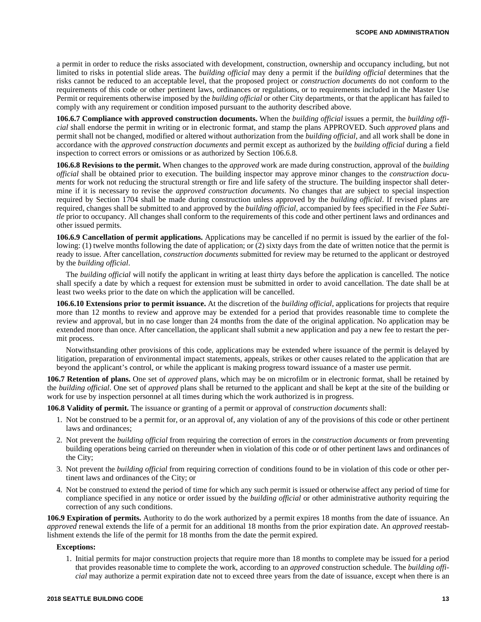a permit in order to reduce the risks associated with development, construction, ownership and occupancy including, but not limited to risks in potential slide areas. The *building official* may deny a permit if the *building official* determines that the risks cannot be reduced to an acceptable level, that the proposed project or *construction documents* do not conform to the requirements of this code or other pertinent laws, ordinances or regulations, or to requirements included in the Master Use Permit or requirements otherwise imposed by the *building official* or other City departments, or that the applicant has failed to comply with any requirement or condition imposed pursuant to the authority described above.

**106.6.7 Compliance with approved construction documents.** When the *building official* issues a permit, the *building official* shall endorse the permit in writing or in electronic format, and stamp the plans APPROVED. Such *approved* plans and permit shall not be changed, modified or altered without authorization from the *building official*, and all work shall be done in accordance with the *approved construction documents* and permit except as authorized by the *building official* during a field inspection to correct errors or omissions or as authorized by Section 106.6.8.

**106.6.8 Revisions to the permit.** When changes to the *approved* work are made during construction, approval of the *building official* shall be obtained prior to execution. The building inspector may approve minor changes to the *construction documents* for work not reducing the structural strength or fire and life safety of the structure. The building inspector shall determine if it is necessary to revise the *approved construction documents*. No changes that are subject to special inspection required by Section 1704 shall be made during construction unless approved by the *building official*. If revised plans are required, changes shall be submitted to and approved by the *building official*, accompanied by fees specified in the *Fee Subtitle* prior to occupancy. All changes shall conform to the requirements of this code and other pertinent laws and ordinances and other issued permits.

**106.6.9 Cancellation of permit applications.** Applications may be cancelled if no permit is issued by the earlier of the following: (1) twelve months following the date of application; or (2) sixty days from the date of written notice that the permit is ready to issue. After cancellation, *construction documents* submitted for review may be returned to the applicant or destroyed by the *building official*.

The *building official* will notify the applicant in writing at least thirty days before the application is cancelled. The notice shall specify a date by which a request for extension must be submitted in order to avoid cancellation. The date shall be at least two weeks prior to the date on which the application will be cancelled.

**106.6.10 Extensions prior to permit issuance.** At the discretion of the *building official*, applications for projects that require more than 12 months to review and approve may be extended for a period that provides reasonable time to complete the review and approval, but in no case longer than 24 months from the date of the original application. No application may be extended more than once. After cancellation, the applicant shall submit a new application and pay a new fee to restart the permit process.

Notwithstanding other provisions of this code, applications may be extended where issuance of the permit is delayed by litigation, preparation of environmental impact statements, appeals, strikes or other causes related to the application that are beyond the applicant's control, or while the applicant is making progress toward issuance of a master use permit.

**106.7 Retention of plans.** One set of *approved* plans, which may be on microfilm or in electronic format, shall be retained by the *building official*. One set of *approved* plans shall be returned to the applicant and shall be kept at the site of the building or work for use by inspection personnel at all times during which the work authorized is in progress.

**106.8 Validity of permit.** The issuance or granting of a permit or approval of *construction documents* shall:

- 1. Not be construed to be a permit for, or an approval of, any violation of any of the provisions of this code or other pertinent laws and ordinances;
- 2. Not prevent the *building official* from requiring the correction of errors in the *construction documents* or from preventing building operations being carried on thereunder when in violation of this code or of other pertinent laws and ordinances of the City;
- 3. Not prevent the *building official* from requiring correction of conditions found to be in violation of this code or other pertinent laws and ordinances of the City; or
- 4. Not be construed to extend the period of time for which any such permit is issued or otherwise affect any period of time for compliance specified in any notice or order issued by the *building official* or other administrative authority requiring the correction of any such conditions.

**106.9 Expiration of permits.** Authority to do the work authorized by a permit expires 18 months from the date of issuance. An *approved* renewal extends the life of a permit for an additional 18 months from the prior expiration date. An *approved* reestablishment extends the life of the permit for 18 months from the date the permit expired.

#### **Exceptions:**

1. Initial permits for major construction projects that require more than 18 months to complete may be issued for a period that provides reasonable time to complete the work, according to an *approved* construction schedule. The *building official* may authorize a permit expiration date not to exceed three years from the date of issuance, except when there is an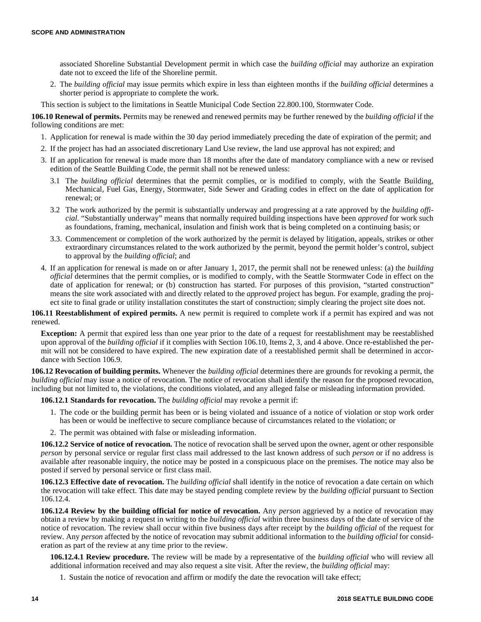associated Shoreline Substantial Development permit in which case the *building official* may authorize an expiration date not to exceed the life of the Shoreline permit.

2. The *building official* may issue permits which expire in less than eighteen months if the *building official* determines a shorter period is appropriate to complete the work.

This section is subject to the limitations in Seattle Municipal Code Section 22.800.100, Stormwater Code.

**106.10 Renewal of permits.** Permits may be renewed and renewed permits may be further renewed by the *building official* if the following conditions are met:

- 1. Application for renewal is made within the 30 day period immediately preceding the date of expiration of the permit; and
- 2. If the project has had an associated discretionary Land Use review, the land use approval has not expired; and
- 3. If an application for renewal is made more than 18 months after the date of mandatory compliance with a new or revised edition of the Seattle Building Code, the permit shall not be renewed unless:
	- 3.1 The *building official* determines that the permit complies, or is modified to comply, with the Seattle Building, Mechanical, Fuel Gas, Energy, Stormwater, Side Sewer and Grading codes in effect on the date of application for renewal; or
	- 3.2 The work authorized by the permit is substantially underway and progressing at a rate approved by the *building official*. "Substantially underway" means that normally required building inspections have been *approved* for work such as foundations, framing, mechanical, insulation and finish work that is being completed on a continuing basis; or
	- 3.3. Commencement or completion of the work authorized by the permit is delayed by litigation, appeals, strikes or other extraordinary circumstances related to the work authorized by the permit, beyond the permit holder's control, subject to approval by the *building official*; and
- 4. If an application for renewal is made on or after January 1, 2017, the permit shall not be renewed unless: (a) the *building official* determines that the permit complies, or is modified to comply, with the Seattle Stormwater Code in effect on the date of application for renewal; or (b) construction has started. For purposes of this provision, "started construction" means the site work associated with and directly related to the *approved* project has begun. For example, grading the project site to final grade or utility installation constitutes the start of construction; simply clearing the project site does not.

**106.11 Reestablishment of expired permits.** A new permit is required to complete work if a permit has expired and was not renewed.

**Exception:** A permit that expired less than one year prior to the date of a request for reestablishment may be reestablished upon approval of the *building official* if it complies with Section 106.10, Items 2, 3, and 4 above. Once re-established the permit will not be considered to have expired. The new expiration date of a reestablished permit shall be determined in accordance with Section 106.9.

**106.12 Revocation of building permits.** Whenever the *building official* determines there are grounds for revoking a permit, the *building official* may issue a notice of revocation. The notice of revocation shall identify the reason for the proposed revocation, including but not limited to, the violations, the conditions violated, and any alleged false or misleading information provided.

**106.12.1 Standards for revocation.** The *building official* may revoke a permit if:

- 1. The code or the building permit has been or is being violated and issuance of a notice of violation or stop work order has been or would be ineffective to secure compliance because of circumstances related to the violation; or
- 2. The permit was obtained with false or misleading information.

**106.12.2 Service of notice of revocation.** The notice of revocation shall be served upon the owner, agent or other responsible *person* by personal service or regular first class mail addressed to the last known address of such *person* or if no address is available after reasonable inquiry, the notice may be posted in a conspicuous place on the premises. The notice may also be posted if served by personal service or first class mail.

**106.12.3 Effective date of revocation.** The *building official* shall identify in the notice of revocation a date certain on which the revocation will take effect. This date may be stayed pending complete review by the *building official* pursuant to Section 106.12.4.

**106.12.4 Review by the building official for notice of revocation.** Any *person* aggrieved by a notice of revocation may obtain a review by making a request in writing to the *building official* within three business days of the date of service of the notice of revocation. The review shall occur within five business days after receipt by the *building official* of the request for review. Any *person* affected by the notice of revocation may submit additional information to the *building official* for consideration as part of the review at any time prior to the review.

**106.12.4.1 Review procedure.** The review will be made by a representative of the *building official* who will review all additional information received and may also request a site visit. After the review, the *building official* may:

1. Sustain the notice of revocation and affirm or modify the date the revocation will take effect;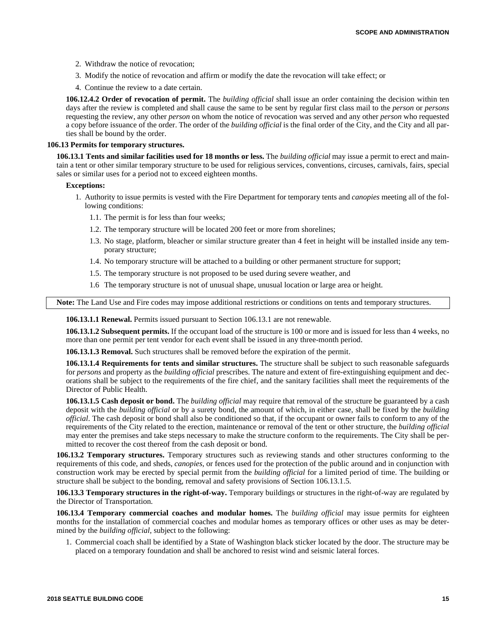- 2. Withdraw the notice of revocation;
- 3. Modify the notice of revocation and affirm or modify the date the revocation will take effect; or
- 4. Continue the review to a date certain.

**106.12.4.2 Order of revocation of permit.** The *building official* shall issue an order containing the decision within ten days after the review is completed and shall cause the same to be sent by regular first class mail to the *person* or *persons* requesting the review, any other *person* on whom the notice of revocation was served and any other *person* who requested a copy before issuance of the order. The order of the *building official* is the final order of the City, and the City and all parties shall be bound by the order.

#### **106.13 Permits for temporary structures.**

**106.13.1 Tents and similar facilities used for 18 months or less.** The *building official* may issue a permit to erect and maintain a tent or other similar temporary structure to be used for religious services, conventions, circuses, carnivals, fairs, special sales or similar uses for a period not to exceed eighteen months.

#### **Exceptions:**

- 1. Authority to issue permits is vested with the Fire Department for temporary tents and *canopies* meeting all of the following conditions:
	- 1.1. The permit is for less than four weeks;
	- 1.2. The temporary structure will be located 200 feet or more from shorelines;
	- 1.3. No stage, platform, bleacher or similar structure greater than 4 feet in height will be installed inside any temporary structure;
	- 1.4. No temporary structure will be attached to a building or other permanent structure for support;
	- 1.5. The temporary structure is not proposed to be used during severe weather, and
	- 1.6 The temporary structure is not of unusual shape, unusual location or large area or height.

**Note:** The Land Use and Fire codes may impose additional restrictions or conditions on tents and temporary structures.

**106.13.1.1 Renewal.** Permits issued pursuant to Section 106.13.1 are not renewable.

**106.13.1.2 Subsequent permits.** If the occupant load of the structure is 100 or more and is issued for less than 4 weeks, no more than one permit per tent vendor for each event shall be issued in any three-month period.

**106.13.1.3 Removal.** Such structures shall be removed before the expiration of the permit.

**106.13.1.4 Requirements for tents and similar structures.** The structure shall be subject to such reasonable safeguards for *persons* and property as the *building official* prescribes. The nature and extent of fire-extinguishing equipment and decorations shall be subject to the requirements of the fire chief, and the sanitary facilities shall meet the requirements of the Director of Public Health.

**106.13.1.5 Cash deposit or bond.** The *building official* may require that removal of the structure be guaranteed by a cash deposit with the *building official* or by a surety bond, the amount of which, in either case, shall be fixed by the *building official*. The cash deposit or bond shall also be conditioned so that, if the occupant or owner fails to conform to any of the requirements of the City related to the erection, maintenance or removal of the tent or other structure, the *building official* may enter the premises and take steps necessary to make the structure conform to the requirements. The City shall be permitted to recover the cost thereof from the cash deposit or bond.

**106.13.2 Temporary structures.** Temporary structures such as reviewing stands and other structures conforming to the requirements of this code, and sheds, *canopies*, or fences used for the protection of the public around and in conjunction with construction work may be erected by special permit from the *building official* for a limited period of time. The building or structure shall be subject to the bonding, removal and safety provisions of Section 106.13.1.5.

**106.13.3 Temporary structures in the right-of-way.** Temporary buildings or structures in the right-of-way are regulated by the Director of Transportation.

**106.13.4 Temporary commercial coaches and modular homes.** The *building official* may issue permits for eighteen months for the installation of commercial coaches and modular homes as temporary offices or other uses as may be determined by the *building official*, subject to the following:

1. Commercial coach shall be identified by a State of Washington black sticker located by the door. The structure may be placed on a temporary foundation and shall be anchored to resist wind and seismic lateral forces.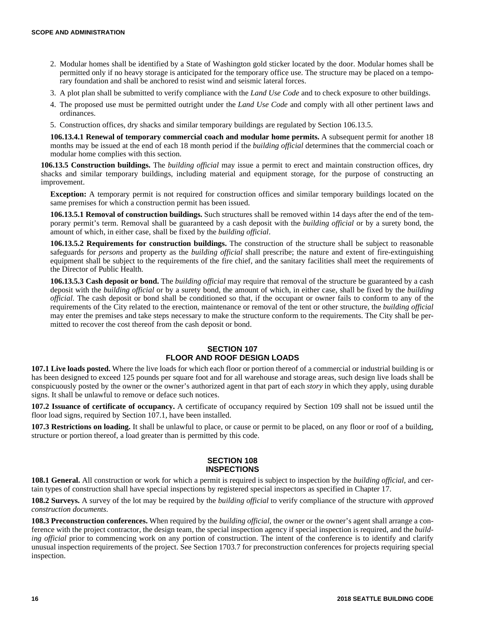- 2. Modular homes shall be identified by a State of Washington gold sticker located by the door. Modular homes shall be permitted only if no heavy storage is anticipated for the temporary office use. The structure may be placed on a temporary foundation and shall be anchored to resist wind and seismic lateral forces.
- 3. A plot plan shall be submitted to verify compliance with the *Land Use Code* and to check exposure to other buildings.
- 4. The proposed use must be permitted outright under the *Land Use Code* and comply with all other pertinent laws and ordinances.
- 5. Construction offices, dry shacks and similar temporary buildings are regulated by Section 106.13.5.

**106.13.4.1 Renewal of temporary commercial coach and modular home permits.** A subsequent permit for another 18 months may be issued at the end of each 18 month period if the *building official* determines that the commercial coach or modular home complies with this section.

**106.13.5 Construction buildings.** The *building official* may issue a permit to erect and maintain construction offices, dry shacks and similar temporary buildings, including material and equipment storage, for the purpose of constructing an improvement.

**Exception:** A temporary permit is not required for construction offices and similar temporary buildings located on the same premises for which a construction permit has been issued.

**106.13.5.1 Removal of construction buildings.** Such structures shall be removed within 14 days after the end of the temporary permit's term. Removal shall be guaranteed by a cash deposit with the *building official* or by a surety bond, the amount of which, in either case, shall be fixed by the *building official*.

**106.13.5.2 Requirements for construction buildings.** The construction of the structure shall be subject to reasonable safeguards for *persons* and property as the *building official* shall prescribe; the nature and extent of fire-extinguishing equipment shall be subject to the requirements of the fire chief, and the sanitary facilities shall meet the requirements of the Director of Public Health.

**106.13.5.3 Cash deposit or bond.** The *building official* may require that removal of the structure be guaranteed by a cash deposit with the *building official* or by a surety bond, the amount of which, in either case, shall be fixed by the *building official*. The cash deposit or bond shall be conditioned so that, if the occupant or owner fails to conform to any of the requirements of the City related to the erection, maintenance or removal of the tent or other structure, the *building official* may enter the premises and take steps necessary to make the structure conform to the requirements. The City shall be permitted to recover the cost thereof from the cash deposit or bond.

# **SECTION 107 FLOOR AND ROOF DESIGN LOADS**

**107.1 Live loads posted.** Where the live loads for which each floor or portion thereof of a commercial or industrial building is or has been designed to exceed 125 pounds per square foot and for all warehouse and storage areas, such design live loads shall be conspicuously posted by the owner or the owner's authorized agent in that part of each *story* in which they apply, using durable signs. It shall be unlawful to remove or deface such notices.

**107.2 Issuance of certificate of occupancy.** A certificate of occupancy required by Section 109 shall not be issued until the floor load signs, required by Section 107.1, have been installed.

**107.3 Restrictions on loading.** It shall be unlawful to place, or cause or permit to be placed, on any floor or roof of a building, structure or portion thereof, a load greater than is permitted by this code.

## **SECTION 108 INSPECTIONS**

**108.1 General.** All construction or work for which a permit is required is subject to inspection by the *building official*, and certain types of construction shall have special inspections by registered special inspectors as specified in Chapter 17.

**108.2 Surveys.** A survey of the lot may be required by the *building official* to verify compliance of the structure with *approved construction documents*.

**108.3 Preconstruction conferences.** When required by the *building official*, the owner or the owner's agent shall arrange a conference with the project contractor, the design team, the special inspection agency if special inspection is required, and the *building official* prior to commencing work on any portion of construction. The intent of the conference is to identify and clarify unusual inspection requirements of the project. See Section 1703.7 for preconstruction conferences for projects requiring special inspection.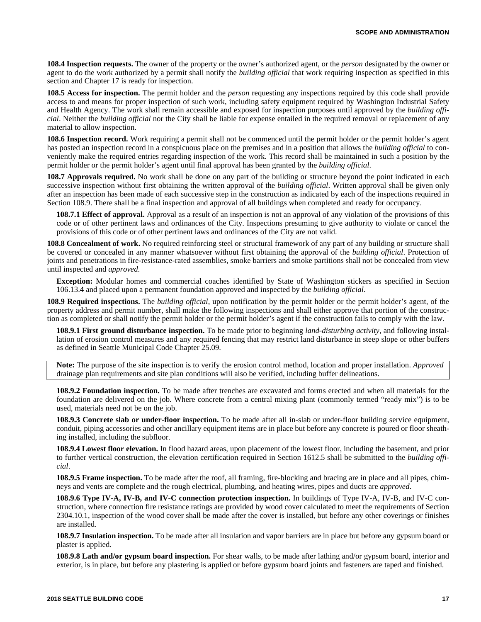**108.4 Inspection requests.** The owner of the property or the owner's authorized agent, or the *person* designated by the owner or agent to do the work authorized by a permit shall notify the *building official* that work requiring inspection as specified in this section and Chapter 17 is ready for inspection.

**108.5 Access for inspection.** The permit holder and the *person* requesting any inspections required by this code shall provide access to and means for proper inspection of such work, including safety equipment required by Washington Industrial Safety and Health Agency. The work shall remain accessible and exposed for inspection purposes until approved by the *building official*. Neither the *building official* nor the City shall be liable for expense entailed in the required removal or replacement of any material to allow inspection.

**108.6 Inspection record.** Work requiring a permit shall not be commenced until the permit holder or the permit holder's agent has posted an inspection record in a conspicuous place on the premises and in a position that allows the *building official* to conveniently make the required entries regarding inspection of the work. This record shall be maintained in such a position by the permit holder or the permit holder's agent until final approval has been granted by the *building official*.

**108.7 Approvals required.** No work shall be done on any part of the building or structure beyond the point indicated in each successive inspection without first obtaining the written approval of the *building official*. Written approval shall be given only after an inspection has been made of each successive step in the construction as indicated by each of the inspections required in Section 108.9. There shall be a final inspection and approval of all buildings when completed and ready for occupancy.

**108.7.1 Effect of approval.** Approval as a result of an inspection is not an approval of any violation of the provisions of this code or of other pertinent laws and ordinances of the City. Inspections presuming to give authority to violate or cancel the provisions of this code or of other pertinent laws and ordinances of the City are not valid.

**108.8 Concealment of work.** No required reinforcing steel or structural framework of any part of any building or structure shall be covered or concealed in any manner whatsoever without first obtaining the approval of the *building official*. Protection of joints and penetrations in fire-resistance-rated assemblies, smoke barriers and smoke partitions shall not be concealed from view until inspected and *approved*.

**Exception:** Modular homes and commercial coaches identified by State of Washington stickers as specified in Section 106.13.4 and placed upon a permanent foundation approved and inspected by the *building official*.

**108.9 Required inspections.** The *building official*, upon notification by the permit holder or the permit holder's agent, of the property address and permit number, shall make the following inspections and shall either approve that portion of the construction as completed or shall notify the permit holder or the permit holder's agent if the construction fails to comply with the law.

**108.9.1 First ground disturbance inspection.** To be made prior to beginning *land-disturbing activity*, and following installation of erosion control measures and any required fencing that may restrict land disturbance in steep slope or other buffers as defined in Seattle Municipal Code Chapter 25.09.

**Note:** The purpose of the site inspection is to verify the erosion control method, location and proper installation. *Approved* drainage plan requirements and site plan conditions will also be verified, including buffer delineations.

**108.9.2 Foundation inspection.** To be made after trenches are excavated and forms erected and when all materials for the foundation are delivered on the job. Where concrete from a central mixing plant (commonly termed "ready mix") is to be used, materials need not be on the job.

**108.9.3 Concrete slab or under-floor inspection.** To be made after all in-slab or under-floor building service equipment, conduit, piping accessories and other ancillary equipment items are in place but before any concrete is poured or floor sheathing installed, including the subfloor.

**108.9.4 Lowest floor elevation.** In flood hazard areas, upon placement of the lowest floor, including the basement, and prior to further vertical construction, the elevation certification required in Section 1612.5 shall be submitted to the *building official*.

**108.9.5 Frame inspection.** To be made after the roof, all framing, fire-blocking and bracing are in place and all pipes, chimneys and vents are complete and the rough electrical, plumbing, and heating wires, pipes and ducts are *approved*.

**108.9.6 Type IV-A, IV-B, and IV-C connection protection inspection.** In buildings of Type IV-A, IV-B, and IV-C construction, where connection fire resistance ratings are provided by wood cover calculated to meet the requirements of Section 2304.10.1, inspection of the wood cover shall be made after the cover is installed, but before any other coverings or finishes are installed.

**108.9.7 Insulation inspection.** To be made after all insulation and vapor barriers are in place but before any gypsum board or plaster is applied.

**108.9.8 Lath and/or gypsum board inspection.** For shear walls, to be made after lathing and/or gypsum board, interior and exterior, is in place, but before any plastering is applied or before gypsum board joints and fasteners are taped and finished.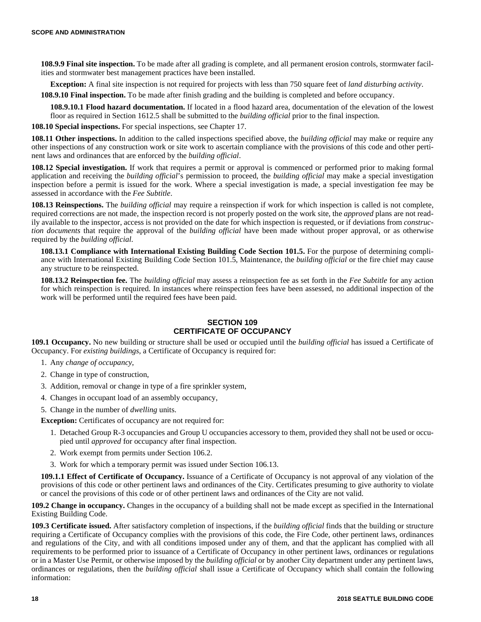**108.9.9 Final site inspection.** To be made after all grading is complete, and all permanent erosion controls, stormwater facilities and stormwater best management practices have been installed.

**Exception:** A final site inspection is not required for projects with less than 750 square feet of *land disturbing activity*.

**108.9.10 Final inspection.** To be made after finish grading and the building is completed and before occupancy.

**108.9.10.1 Flood hazard documentation.** If located in a flood hazard area, documentation of the elevation of the lowest floor as required in Section 1612.5 shall be submitted to the *building official* prior to the final inspection.

**108.10 Special inspections.** For special inspections, see Chapter 17.

**108.11 Other inspections.** In addition to the called inspections specified above, the *building official* may make or require any other inspections of any construction work or site work to ascertain compliance with the provisions of this code and other pertinent laws and ordinances that are enforced by the *building official*.

**108.12 Special investigation.** If work that requires a permit or approval is commenced or performed prior to making formal application and receiving the *building official*'s permission to proceed, the *building official* may make a special investigation inspection before a permit is issued for the work. Where a special investigation is made, a special investigation fee may be assessed in accordance with the *Fee Subtitle*.

**108.13 Reinspections.** The *building official* may require a reinspection if work for which inspection is called is not complete, required corrections are not made, the inspection record is not properly posted on the work site, the *approved* plans are not readily available to the inspector, access is not provided on the date for which inspection is requested, or if deviations from *construction documents* that require the approval of the *building official* have been made without proper approval, or as otherwise required by the *building official*.

**108.13.1 Compliance with International Existing Building Code Section 101.5.** For the purpose of determining compliance with International Existing Building Code Section 101.5, Maintenance, the *building official* or the fire chief may cause any structure to be reinspected.

**108.13.2 Reinspection fee.** The *building official* may assess a reinspection fee as set forth in the *Fee Subtitle* for any action for which reinspection is required. In instances where reinspection fees have been assessed, no additional inspection of the work will be performed until the required fees have been paid.

# **SECTION 109 CERTIFICATE OF OCCUPANCY**

**109.1 Occupancy.** No new building or structure shall be used or occupied until the *building official* has issued a Certificate of Occupancy. For *existing buildings*, a Certificate of Occupancy is required for:

- 1. Any *change of occupancy*,
- 2. Change in type of construction,
- 3. Addition, removal or change in type of a fire sprinkler system,
- 4. Changes in occupant load of an assembly occupancy,
- 5. Change in the number of *dwelling* units.

**Exception:** Certificates of occupancy are not required for:

- 1. Detached Group R-3 occupancies and Group U occupancies accessory to them, provided they shall not be used or occupied until *approved* for occupancy after final inspection.
- 2. Work exempt from permits under Section 106.2.
- 3. Work for which a temporary permit was issued under Section 106.13.

**109.1.1 Effect of Certificate of Occupancy.** Issuance of a Certificate of Occupancy is not approval of any violation of the provisions of this code or other pertinent laws and ordinances of the City. Certificates presuming to give authority to violate or cancel the provisions of this code or of other pertinent laws and ordinances of the City are not valid.

**109.2 Change in occupancy.** Changes in the occupancy of a building shall not be made except as specified in the International Existing Building Code.

**109.3 Certificate issued.** After satisfactory completion of inspections, if the *building official* finds that the building or structure requiring a Certificate of Occupancy complies with the provisions of this code, the Fire Code, other pertinent laws, ordinances and regulations of the City, and with all conditions imposed under any of them, and that the applicant has complied with all requirements to be performed prior to issuance of a Certificate of Occupancy in other pertinent laws, ordinances or regulations or in a Master Use Permit, or otherwise imposed by the *building official* or by another City department under any pertinent laws, ordinances or regulations, then the *building official* shall issue a Certificate of Occupancy which shall contain the following information: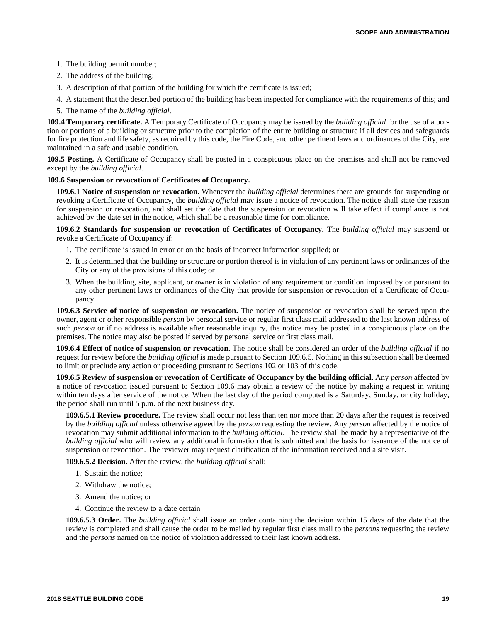- 1. The building permit number;
- 2. The address of the building;
- 3. A description of that portion of the building for which the certificate is issued;
- 4. A statement that the described portion of the building has been inspected for compliance with the requirements of this; and
- 5. The name of the *building official*.

**109.4 Temporary certificate.** A Temporary Certificate of Occupancy may be issued by the *building official* for the use of a portion or portions of a building or structure prior to the completion of the entire building or structure if all devices and safeguards for fire protection and life safety, as required by this code, the Fire Code, and other pertinent laws and ordinances of the City, are maintained in a safe and usable condition.

**109.5 Posting.** A Certificate of Occupancy shall be posted in a conspicuous place on the premises and shall not be removed except by the *building official*.

#### **109.6 Suspension or revocation of Certificates of Occupancy.**

**109.6.1 Notice of suspension or revocation.** Whenever the *building official* determines there are grounds for suspending or revoking a Certificate of Occupancy, the *building official* may issue a notice of revocation. The notice shall state the reason for suspension or revocation, and shall set the date that the suspension or revocation will take effect if compliance is not achieved by the date set in the notice, which shall be a reasonable time for compliance.

**109.6.2 Standards for suspension or revocation of Certificates of Occupancy.** The *building official* may suspend or revoke a Certificate of Occupancy if:

- 1. The certificate is issued in error or on the basis of incorrect information supplied; or
- 2. It is determined that the building or structure or portion thereof is in violation of any pertinent laws or ordinances of the City or any of the provisions of this code; or
- 3. When the building, site, applicant, or owner is in violation of any requirement or condition imposed by or pursuant to any other pertinent laws or ordinances of the City that provide for suspension or revocation of a Certificate of Occupancy.

**109.6.3 Service of notice of suspension or revocation.** The notice of suspension or revocation shall be served upon the owner, agent or other responsible *person* by personal service or regular first class mail addressed to the last known address of such *person* or if no address is available after reasonable inquiry, the notice may be posted in a conspicuous place on the premises. The notice may also be posted if served by personal service or first class mail.

**109.6.4 Effect of notice of suspension or revocation.** The notice shall be considered an order of the *building official* if no request for review before the *building official* is made pursuant to Section 109.6.5. Nothing in this subsection shall be deemed to limit or preclude any action or proceeding pursuant to Sections 102 or 103 of this code.

**109.6.5 Review of suspension or revocation of Certificate of Occupancy by the building official.** Any *person* affected by a notice of revocation issued pursuant to Section 109.6 may obtain a review of the notice by making a request in writing within ten days after service of the notice. When the last day of the period computed is a Saturday, Sunday, or city holiday, the period shall run until 5 p.m. of the next business day.

**109.6.5.1 Review procedure.** The review shall occur not less than ten nor more than 20 days after the request is received by the *building official* unless otherwise agreed by the *person* requesting the review. Any *person* affected by the notice of revocation may submit additional information to the *building official*. The review shall be made by a representative of the *building official* who will review any additional information that is submitted and the basis for issuance of the notice of suspension or revocation. The reviewer may request clarification of the information received and a site visit.

**109.6.5.2 Decision.** After the review, the *building official* shall:

- 1. Sustain the notice;
- 2. Withdraw the notice;
- 3. Amend the notice; or
- 4. Continue the review to a date certain

**109.6.5.3 Order.** The *building official* shall issue an order containing the decision within 15 days of the date that the review is completed and shall cause the order to be mailed by regular first class mail to the *persons* requesting the review and the *persons* named on the notice of violation addressed to their last known address.